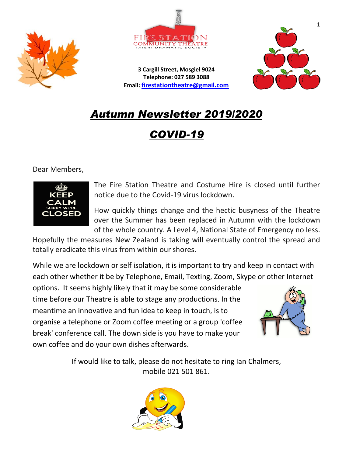



**3 Cargill Street, Mosgiel 9024 Telephone: 027 589 3088 Email: [firestationtheatre@gmail.com](mailto:firestationtheatre@gmail.com)**



# *Autumn Newsletter 2019/2020*

*COVID-19*

Dear Members,



The Fire Station Theatre and Costume Hire is closed until further notice due to the Covid-19 virus lockdown.

How quickly things change and the hectic busyness of the Theatre over the Summer has been replaced in Autumn with the lockdown of the whole country. A Level 4, National State of Emergency no less.

Hopefully the measures New Zealand is taking will eventually control the spread and totally eradicate this virus from within our shores.

While we are lockdown or self isolation, it is important to try and keep in contact with each other whether it be by Telephone, Email, Texting, Zoom, Skype or other Internet

options. It seems highly likely that it may be some considerable time before our Theatre is able to stage any productions. In the meantime an innovative and fun idea to keep in touch, is to organise a telephone or Zoom coffee meeting or a group 'coffee break' conference call. The down side is you have to make your own coffee and do your own dishes afterwards.



If would like to talk, please do not hesitate to ring Ian Chalmers, mobile 021 501 861.

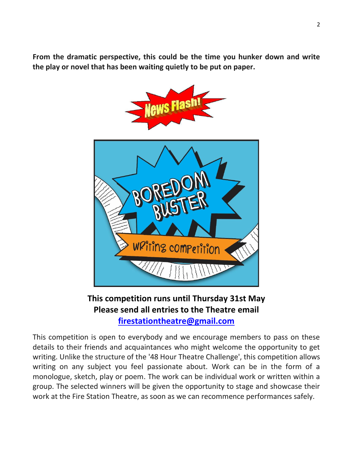**From the dramatic perspective, this could be the time you hunker down and write the play or novel that has been waiting quietly to be put on paper.**



**This competition runs until Thursday 31st May Please send all entries to the Theatre email [firestationtheatre@gmail.com](mailto:firestationtheatre@gmail.com)**

This competition is open to everybody and we encourage members to pass on these details to their friends and acquaintances who might welcome the opportunity to get writing. Unlike the structure of the '48 Hour Theatre Challenge', this competition allows writing on any subject you feel passionate about. Work can be in the form of a monologue, sketch, play or poem. The work can be individual work or written within a group. The selected winners will be given the opportunity to stage and showcase their work at the Fire Station Theatre, as soon as we can recommence performances safely.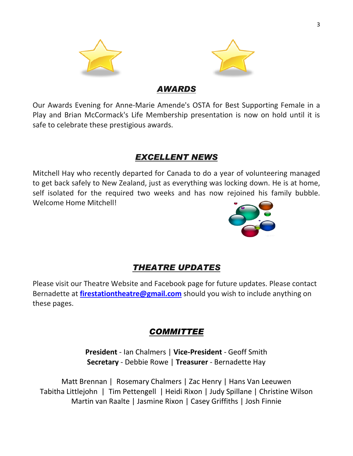

#### *AWARDS*

Our Awards Evening for Anne-Marie Amende's OSTA for Best Supporting Female in a Play and Brian McCormack's Life Membership presentation is now on hold until it is safe to celebrate these prestigious awards.

#### *EXCELLENT NEWS*

Mitchell Hay who recently departed for Canada to do a year of volunteering managed to get back safely to New Zealand, just as everything was locking down. He is at home, self isolated for the required two weeks and has now rejoined his family bubble. Welcome Home Mitchell!



## *THEATRE UPDATES*

Please visit our Theatre Website and Facebook page for future updates. Please contact Bernadette at **[firestationtheatre@gmail.com](mailto:firestationtheatre@gmail.com)** should you wish to include anything on these pages.

### *COMMITTEE*

**President** - Ian Chalmers | **Vice-President** - Geoff Smith **Secretary** - Debbie Rowe | **Treasurer** - Bernadette Hay

Matt Brennan | Rosemary Chalmers | Zac Henry | Hans Van Leeuwen Tabitha Littlejohn | Tim Pettengell | Heidi Rixon | Judy Spillane | Christine Wilson Martin van Raalte | Jasmine Rixon | Casey Griffiths | Josh Finnie